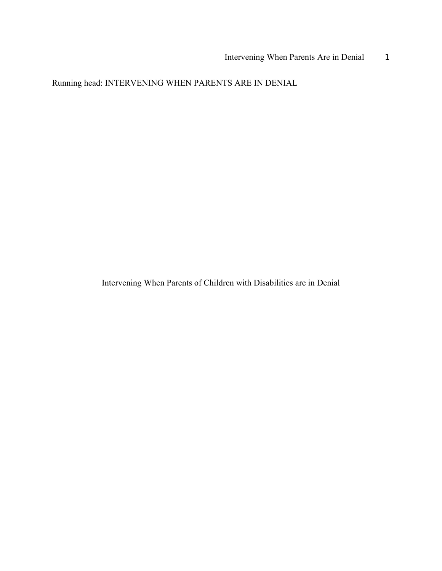Running head: INTERVENING WHEN PARENTS ARE IN DENIAL

Intervening When Parents of Children with Disabilities are in Denial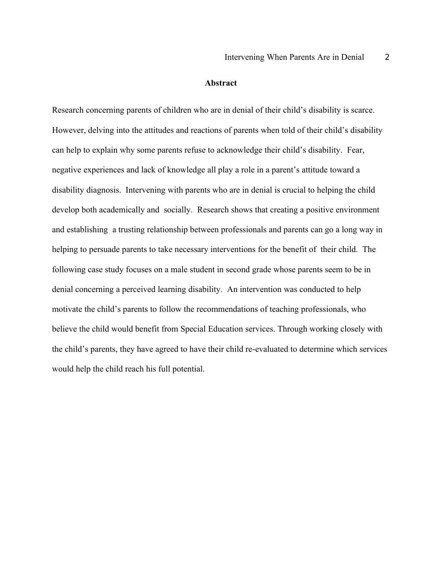### **Abstract**

Research concerning parents of children who are in denial of their child's disability is scarce. However, delving into the attitudes and reactions of parents when told of their child's disability can help to explain why some parents refuse to acknowledge their child's disability. Fear, negative experiences and lack of knowledge all play a role in a parent's attitude toward a disability diagnosis. Intervening with parents who are in denial is crucial to helping the child develop both academically and socially. Research shows that creating a positive environment and establishing a trusting relationship between professionals and parents can go a long way in helping to persuade parents to take necessary interventions for the benefit of their child. The following case study focuses on a male student in second grade whose parents seem to be in denial concerning a perceived learning disability. An intervention was conducted to help motivate the child's parents to follow the recommendations of teaching professionals, who believe the child would benefit from Special Education services. Through working closely with the child's parents, they have agreed to have their child re-evaluated to determine which services would help the child reach his full potential.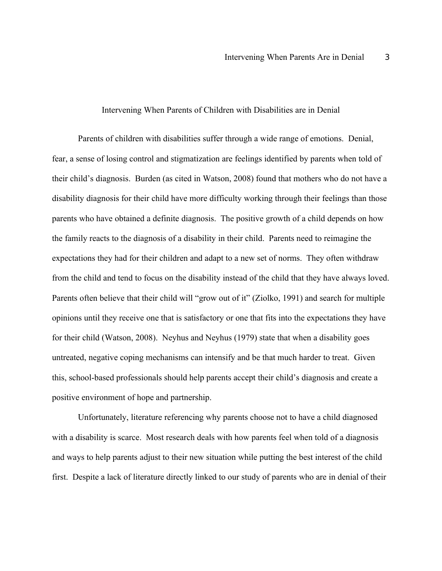#### Intervening When Parents of Children with Disabilities are in Denial

Parents of children with disabilities suffer through a wide range of emotions. Denial, fear, a sense of losing control and stigmatization are feelings identified by parents when told of their child's diagnosis. Burden (as cited in Watson, 2008) found that mothers who do not have a disability diagnosis for their child have more difficulty working through their feelings than those parents who have obtained a definite diagnosis. The positive growth of a child depends on how the family reacts to the diagnosis of a disability in their child. Parents need to reimagine the expectations they had for their children and adapt to a new set of norms. They often withdraw from the child and tend to focus on the disability instead of the child that they have always loved. Parents often believe that their child will "grow out of it" (Ziolko, 1991) and search for multiple opinions until they receive one that is satisfactory or one that fits into the expectations they have for their child (Watson, 2008). Neyhus and Neyhus (1979) state that when a disability goes untreated, negative coping mechanisms can intensify and be that much harder to treat. Given this, school-based professionals should help parents accept their child's diagnosis and create a positive environment of hope and partnership.

Unfortunately, literature referencing why parents choose not to have a child diagnosed with a disability is scarce. Most research deals with how parents feel when told of a diagnosis and ways to help parents adjust to their new situation while putting the best interest of the child first. Despite a lack of literature directly linked to our study of parents who are in denial of their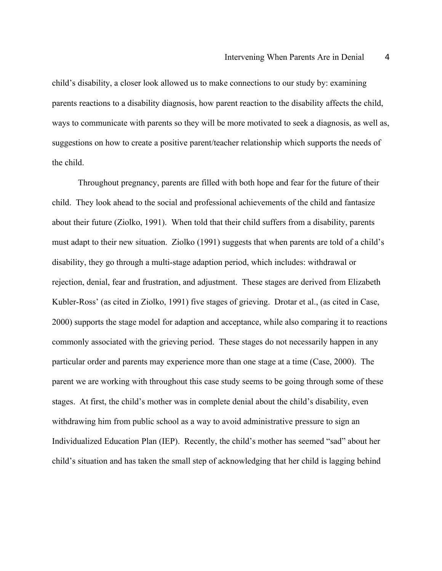child's disability, a closer look allowed us to make connections to our study by: examining parents reactions to a disability diagnosis, how parent reaction to the disability affects the child, ways to communicate with parents so they will be more motivated to seek a diagnosis, as well as, suggestions on how to create a positive parent/teacher relationship which supports the needs of the child.

Throughout pregnancy, parents are filled with both hope and fear for the future of their child. They look ahead to the social and professional achievements of the child and fantasize about their future (Ziolko, 1991). When told that their child suffers from a disability, parents must adapt to their new situation. Ziolko (1991) suggests that when parents are told of a child's disability, they go through a multi-stage adaption period, which includes: withdrawal or rejection, denial, fear and frustration, and adjustment. These stages are derived from Elizabeth Kubler-Ross' (as cited in Ziolko, 1991) five stages of grieving. Drotar et al., (as cited in Case, 2000) supports the stage model for adaption and acceptance, while also comparing it to reactions commonly associated with the grieving period. These stages do not necessarily happen in any particular order and parents may experience more than one stage at a time (Case, 2000). The parent we are working with throughout this case study seems to be going through some of these stages. At first, the child's mother was in complete denial about the child's disability, even withdrawing him from public school as a way to avoid administrative pressure to sign an Individualized Education Plan (IEP). Recently, the child's mother has seemed "sad" about her child's situation and has taken the small step of acknowledging that her child is lagging behind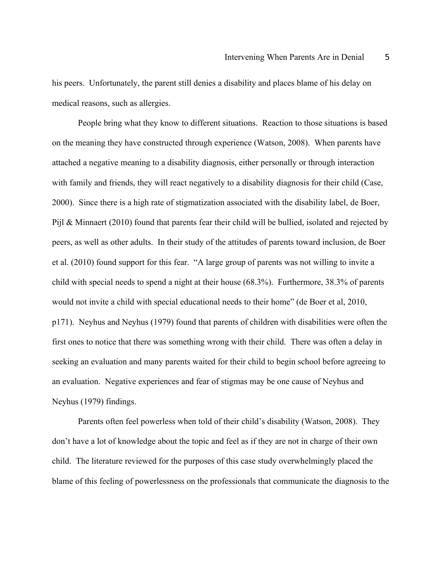his peers. Unfortunately, the parent still denies a disability and places blame of his delay on medical reasons, such as allergies.

People bring what they know to different situations. Reaction to those situations is based on the meaning they have constructed through experience (Watson, 2008). When parents have attached a negative meaning to a disability diagnosis, either personally or through interaction with family and friends, they will react negatively to a disability diagnosis for their child (Case, 2000). Since there is a high rate of stigmatization associated with the disability label, de Boer, Pijl & Minnaert (2010) found that parents fear their child will be bullied, isolated and rejected by peers, as well as other adults. In their study of the attitudes of parents toward inclusion, de Boer et al. (2010) found support for this fear. "A large group of parents was not willing to invite a child with special needs to spend a night at their house (68.3%). Furthermore, 38.3% of parents would not invite a child with special educational needs to their home" (de Boer et al, 2010, p171). Neyhus and Neyhus (1979) found that parents of children with disabilities were often the first ones to notice that there was something wrong with their child. There was often a delay in seeking an evaluation and many parents waited for their child to begin school before agreeing to an evaluation. Negative experiences and fear of stigmas may be one cause of Neyhus and Neyhus (1979) findings.

Parents often feel powerless when told of their child's disability (Watson, 2008). They don't have a lot of knowledge about the topic and feel as if they are not in charge of their own child. The literature reviewed for the purposes of this case study overwhelmingly placed the blame of this feeling of powerlessness on the professionals that communicate the diagnosis to the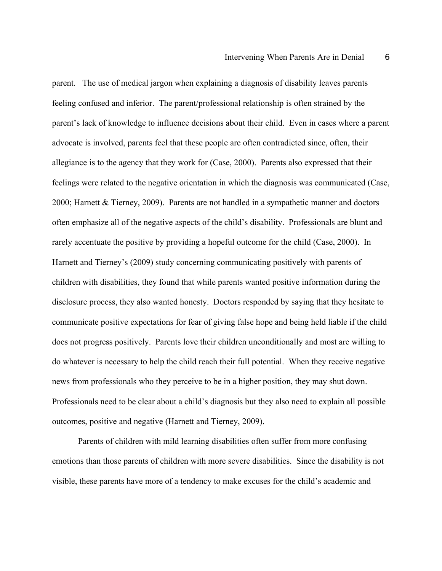parent. The use of medical jargon when explaining a diagnosis of disability leaves parents feeling confused and inferior. The parent/professional relationship is often strained by the parent's lack of knowledge to influence decisions about their child. Even in cases where a parent advocate is involved, parents feel that these people are often contradicted since, often, their allegiance is to the agency that they work for (Case, 2000). Parents also expressed that their feelings were related to the negative orientation in which the diagnosis was communicated (Case, 2000; Harnett & Tierney, 2009). Parents are not handled in a sympathetic manner and doctors often emphasize all of the negative aspects of the child's disability. Professionals are blunt and rarely accentuate the positive by providing a hopeful outcome for the child (Case, 2000). In Harnett and Tierney's (2009) study concerning communicating positively with parents of children with disabilities, they found that while parents wanted positive information during the disclosure process, they also wanted honesty. Doctors responded by saying that they hesitate to communicate positive expectations for fear of giving false hope and being held liable if the child does not progress positively. Parents love their children unconditionally and most are willing to do whatever is necessary to help the child reach their full potential. When they receive negative news from professionals who they perceive to be in a higher position, they may shut down. Professionals need to be clear about a child's diagnosis but they also need to explain all possible outcomes, positive and negative (Harnett and Tierney, 2009).

Parents of children with mild learning disabilities often suffer from more confusing emotions than those parents of children with more severe disabilities. Since the disability is not visible, these parents have more of a tendency to make excuses for the child's academic and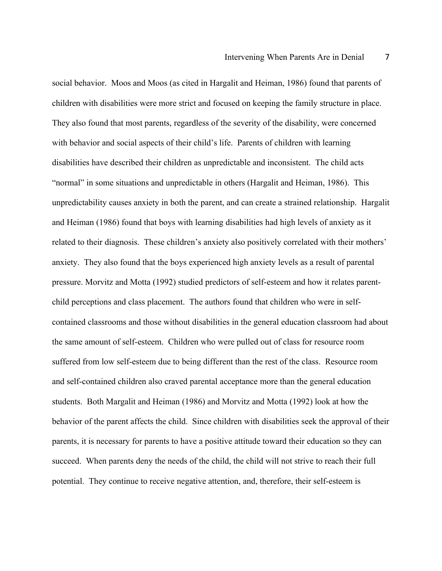social behavior. Moos and Moos (as cited in Hargalit and Heiman, 1986) found that parents of children with disabilities were more strict and focused on keeping the family structure in place. They also found that most parents, regardless of the severity of the disability, were concerned with behavior and social aspects of their child's life. Parents of children with learning disabilities have described their children as unpredictable and inconsistent. The child acts "normal" in some situations and unpredictable in others (Hargalit and Heiman, 1986). This unpredictability causes anxiety in both the parent, and can create a strained relationship. Hargalit and Heiman (1986) found that boys with learning disabilities had high levels of anxiety as it related to their diagnosis. These children's anxiety also positively correlated with their mothers' anxiety. They also found that the boys experienced high anxiety levels as a result of parental pressure. Morvitz and Motta (1992) studied predictors of self-esteem and how it relates parentchild perceptions and class placement. The authors found that children who were in selfcontained classrooms and those without disabilities in the general education classroom had about the same amount of self-esteem. Children who were pulled out of class for resource room suffered from low self-esteem due to being different than the rest of the class. Resource room and self-contained children also craved parental acceptance more than the general education students. Both Margalit and Heiman (1986) and Morvitz and Motta (1992) look at how the behavior of the parent affects the child. Since children with disabilities seek the approval of their parents, it is necessary for parents to have a positive attitude toward their education so they can succeed. When parents deny the needs of the child, the child will not strive to reach their full potential. They continue to receive negative attention, and, therefore, their self-esteem is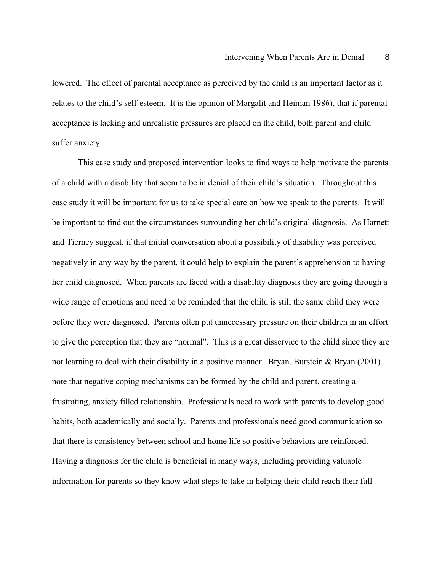lowered. The effect of parental acceptance as perceived by the child is an important factor as it relates to the child's self-esteem. It is the opinion of Margalit and Heiman 1986), that if parental acceptance is lacking and unrealistic pressures are placed on the child, both parent and child suffer anxiety.

This case study and proposed intervention looks to find ways to help motivate the parents of a child with a disability that seem to be in denial of their child's situation. Throughout this case study it will be important for us to take special care on how we speak to the parents. It will be important to find out the circumstances surrounding her child's original diagnosis. As Harnett and Tierney suggest, if that initial conversation about a possibility of disability was perceived negatively in any way by the parent, it could help to explain the parent's apprehension to having her child diagnosed. When parents are faced with a disability diagnosis they are going through a wide range of emotions and need to be reminded that the child is still the same child they were before they were diagnosed. Parents often put unnecessary pressure on their children in an effort to give the perception that they are "normal". This is a great disservice to the child since they are not learning to deal with their disability in a positive manner. Bryan, Burstein & Bryan (2001) note that negative coping mechanisms can be formed by the child and parent, creating a frustrating, anxiety filled relationship. Professionals need to work with parents to develop good habits, both academically and socially. Parents and professionals need good communication so that there is consistency between school and home life so positive behaviors are reinforced. Having a diagnosis for the child is beneficial in many ways, including providing valuable information for parents so they know what steps to take in helping their child reach their full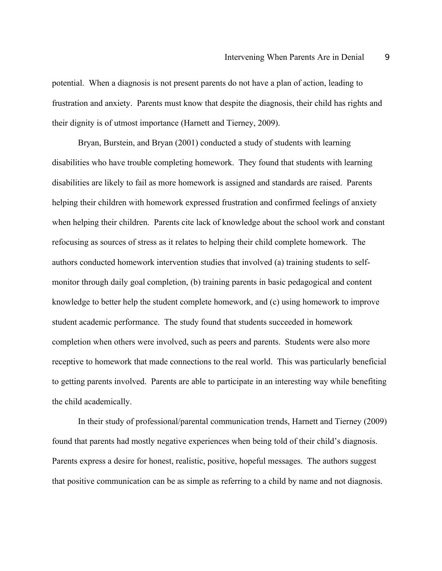potential. When a diagnosis is not present parents do not have a plan of action, leading to frustration and anxiety. Parents must know that despite the diagnosis, their child has rights and their dignity is of utmost importance (Harnett and Tierney, 2009).

Bryan, Burstein, and Bryan (2001) conducted a study of students with learning disabilities who have trouble completing homework. They found that students with learning disabilities are likely to fail as more homework is assigned and standards are raised. Parents helping their children with homework expressed frustration and confirmed feelings of anxiety when helping their children. Parents cite lack of knowledge about the school work and constant refocusing as sources of stress as it relates to helping their child complete homework. The authors conducted homework intervention studies that involved (a) training students to selfmonitor through daily goal completion, (b) training parents in basic pedagogical and content knowledge to better help the student complete homework, and (c) using homework to improve student academic performance. The study found that students succeeded in homework completion when others were involved, such as peers and parents. Students were also more receptive to homework that made connections to the real world. This was particularly beneficial to getting parents involved. Parents are able to participate in an interesting way while benefiting the child academically.

In their study of professional/parental communication trends, Harnett and Tierney (2009) found that parents had mostly negative experiences when being told of their child's diagnosis. Parents express a desire for honest, realistic, positive, hopeful messages. The authors suggest that positive communication can be as simple as referring to a child by name and not diagnosis.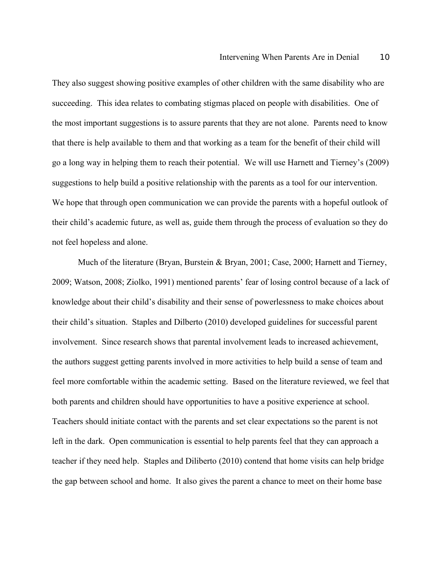They also suggest showing positive examples of other children with the same disability who are succeeding. This idea relates to combating stigmas placed on people with disabilities. One of the most important suggestions is to assure parents that they are not alone. Parents need to know that there is help available to them and that working as a team for the benefit of their child will go a long way in helping them to reach their potential. We will use Harnett and Tierney's (2009) suggestions to help build a positive relationship with the parents as a tool for our intervention. We hope that through open communication we can provide the parents with a hopeful outlook of their child's academic future, as well as, guide them through the process of evaluation so they do not feel hopeless and alone.

Much of the literature (Bryan, Burstein & Bryan, 2001; Case, 2000; Harnett and Tierney, 2009; Watson, 2008; Ziolko, 1991) mentioned parents' fear of losing control because of a lack of knowledge about their child's disability and their sense of powerlessness to make choices about their child's situation. Staples and Dilberto (2010) developed guidelines for successful parent involvement. Since research shows that parental involvement leads to increased achievement, the authors suggest getting parents involved in more activities to help build a sense of team and feel more comfortable within the academic setting. Based on the literature reviewed, we feel that both parents and children should have opportunities to have a positive experience at school. Teachers should initiate contact with the parents and set clear expectations so the parent is not left in the dark. Open communication is essential to help parents feel that they can approach a teacher if they need help. Staples and Diliberto (2010) contend that home visits can help bridge the gap between school and home. It also gives the parent a chance to meet on their home base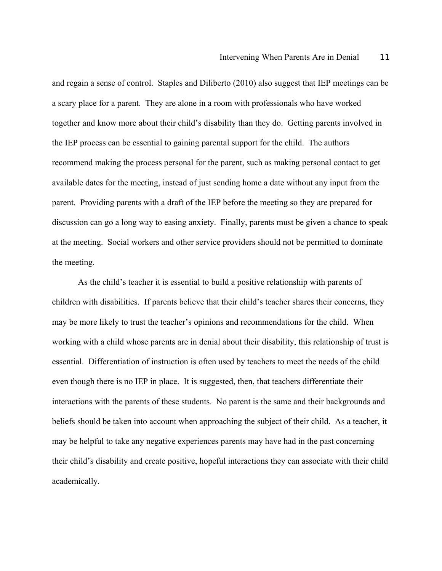and regain a sense of control. Staples and Diliberto (2010) also suggest that IEP meetings can be a scary place for a parent. They are alone in a room with professionals who have worked together and know more about their child's disability than they do. Getting parents involved in the IEP process can be essential to gaining parental support for the child. The authors recommend making the process personal for the parent, such as making personal contact to get available dates for the meeting, instead of just sending home a date without any input from the parent. Providing parents with a draft of the IEP before the meeting so they are prepared for discussion can go a long way to easing anxiety. Finally, parents must be given a chance to speak at the meeting. Social workers and other service providers should not be permitted to dominate the meeting.

As the child's teacher it is essential to build a positive relationship with parents of children with disabilities. If parents believe that their child's teacher shares their concerns, they may be more likely to trust the teacher's opinions and recommendations for the child. When working with a child whose parents are in denial about their disability, this relationship of trust is essential. Differentiation of instruction is often used by teachers to meet the needs of the child even though there is no IEP in place. It is suggested, then, that teachers differentiate their interactions with the parents of these students. No parent is the same and their backgrounds and beliefs should be taken into account when approaching the subject of their child. As a teacher, it may be helpful to take any negative experiences parents may have had in the past concerning their child's disability and create positive, hopeful interactions they can associate with their child academically.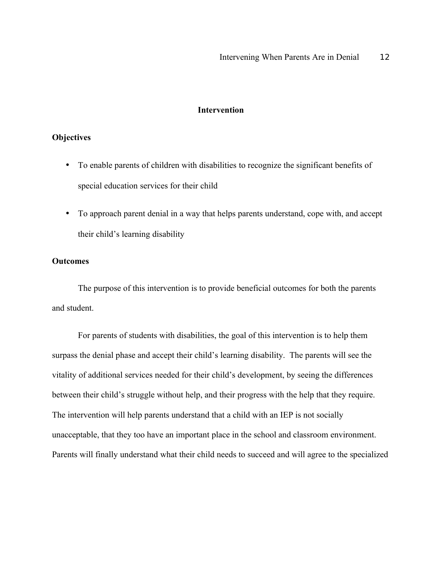## **Intervention**

## **Objectives**

- To enable parents of children with disabilities to recognize the significant benefits of special education services for their child
- To approach parent denial in a way that helps parents understand, cope with, and accept their child's learning disability

### **Outcomes**

The purpose of this intervention is to provide beneficial outcomes for both the parents and student.

For parents of students with disabilities, the goal of this intervention is to help them surpass the denial phase and accept their child's learning disability. The parents will see the vitality of additional services needed for their child's development, by seeing the differences between their child's struggle without help, and their progress with the help that they require. The intervention will help parents understand that a child with an IEP is not socially unacceptable, that they too have an important place in the school and classroom environment. Parents will finally understand what their child needs to succeed and will agree to the specialized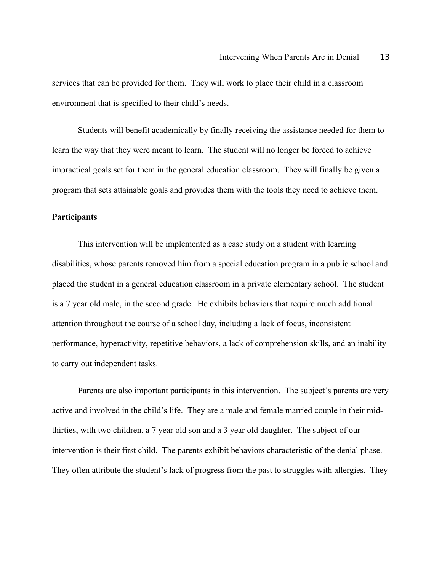services that can be provided for them. They will work to place their child in a classroom environment that is specified to their child's needs.

Students will benefit academically by finally receiving the assistance needed for them to learn the way that they were meant to learn. The student will no longer be forced to achieve impractical goals set for them in the general education classroom. They will finally be given a program that sets attainable goals and provides them with the tools they need to achieve them.

#### **Participants**

This intervention will be implemented as a case study on a student with learning disabilities, whose parents removed him from a special education program in a public school and placed the student in a general education classroom in a private elementary school. The student is a 7 year old male, in the second grade. He exhibits behaviors that require much additional attention throughout the course of a school day, including a lack of focus, inconsistent performance, hyperactivity, repetitive behaviors, a lack of comprehension skills, and an inability to carry out independent tasks.

Parents are also important participants in this intervention. The subject's parents are very active and involved in the child's life. They are a male and female married couple in their midthirties, with two children, a 7 year old son and a 3 year old daughter. The subject of our intervention is their first child. The parents exhibit behaviors characteristic of the denial phase. They often attribute the student's lack of progress from the past to struggles with allergies. They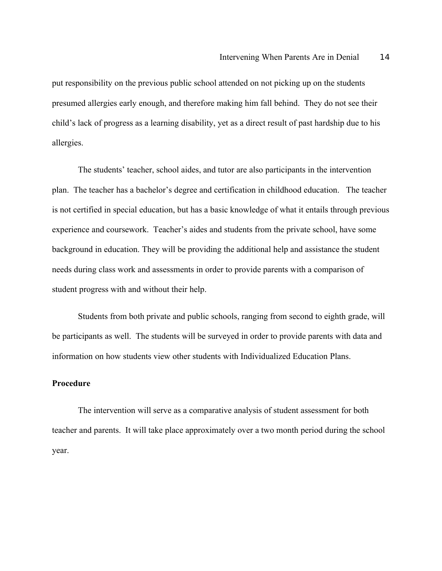put responsibility on the previous public school attended on not picking up on the students presumed allergies early enough, and therefore making him fall behind. They do not see their child's lack of progress as a learning disability, yet as a direct result of past hardship due to his allergies.

The students' teacher, school aides, and tutor are also participants in the intervention plan. The teacher has a bachelor's degree and certification in childhood education. The teacher is not certified in special education, but has a basic knowledge of what it entails through previous experience and coursework. Teacher's aides and students from the private school, have some background in education. They will be providing the additional help and assistance the student needs during class work and assessments in order to provide parents with a comparison of student progress with and without their help.

Students from both private and public schools, ranging from second to eighth grade, will be participants as well. The students will be surveyed in order to provide parents with data and information on how students view other students with Individualized Education Plans.

# **Procedure**

The intervention will serve as a comparative analysis of student assessment for both teacher and parents. It will take place approximately over a two month period during the school year.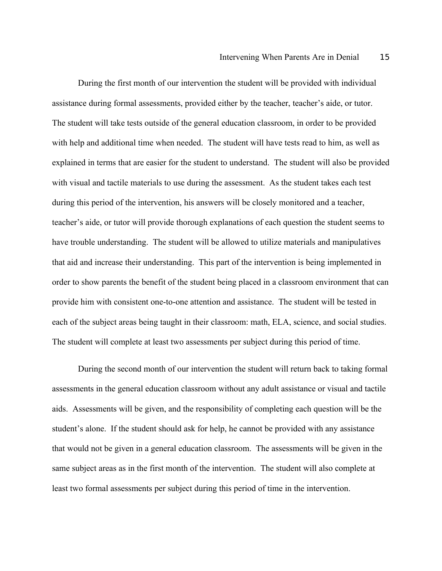During the first month of our intervention the student will be provided with individual assistance during formal assessments, provided either by the teacher, teacher's aide, or tutor. The student will take tests outside of the general education classroom, in order to be provided with help and additional time when needed. The student will have tests read to him, as well as explained in terms that are easier for the student to understand. The student will also be provided with visual and tactile materials to use during the assessment. As the student takes each test during this period of the intervention, his answers will be closely monitored and a teacher, teacher's aide, or tutor will provide thorough explanations of each question the student seems to have trouble understanding. The student will be allowed to utilize materials and manipulatives that aid and increase their understanding. This part of the intervention is being implemented in order to show parents the benefit of the student being placed in a classroom environment that can provide him with consistent one-to-one attention and assistance. The student will be tested in each of the subject areas being taught in their classroom: math, ELA, science, and social studies. The student will complete at least two assessments per subject during this period of time.

During the second month of our intervention the student will return back to taking formal assessments in the general education classroom without any adult assistance or visual and tactile aids. Assessments will be given, and the responsibility of completing each question will be the student's alone. If the student should ask for help, he cannot be provided with any assistance that would not be given in a general education classroom. The assessments will be given in the same subject areas as in the first month of the intervention. The student will also complete at least two formal assessments per subject during this period of time in the intervention.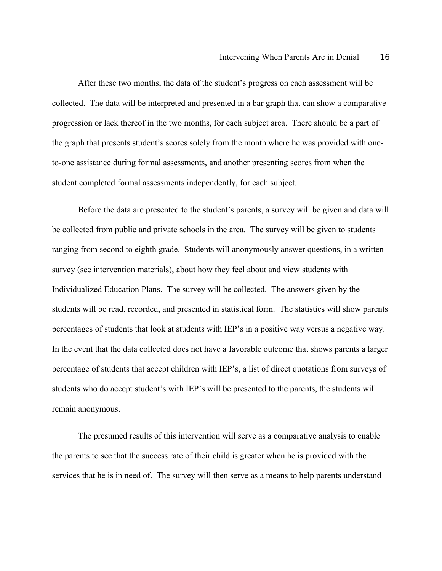After these two months, the data of the student's progress on each assessment will be collected. The data will be interpreted and presented in a bar graph that can show a comparative progression or lack thereof in the two months, for each subject area. There should be a part of the graph that presents student's scores solely from the month where he was provided with oneto-one assistance during formal assessments, and another presenting scores from when the student completed formal assessments independently, for each subject.

Before the data are presented to the student's parents, a survey will be given and data will be collected from public and private schools in the area. The survey will be given to students ranging from second to eighth grade. Students will anonymously answer questions, in a written survey (see intervention materials), about how they feel about and view students with Individualized Education Plans. The survey will be collected. The answers given by the students will be read, recorded, and presented in statistical form. The statistics will show parents percentages of students that look at students with IEP's in a positive way versus a negative way. In the event that the data collected does not have a favorable outcome that shows parents a larger percentage of students that accept children with IEP's, a list of direct quotations from surveys of students who do accept student's with IEP's will be presented to the parents, the students will remain anonymous.

The presumed results of this intervention will serve as a comparative analysis to enable the parents to see that the success rate of their child is greater when he is provided with the services that he is in need of. The survey will then serve as a means to help parents understand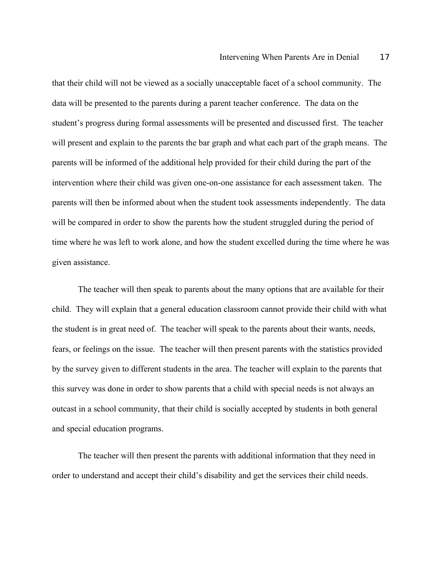that their child will not be viewed as a socially unacceptable facet of a school community. The data will be presented to the parents during a parent teacher conference. The data on the student's progress during formal assessments will be presented and discussed first. The teacher will present and explain to the parents the bar graph and what each part of the graph means. The parents will be informed of the additional help provided for their child during the part of the intervention where their child was given one-on-one assistance for each assessment taken. The parents will then be informed about when the student took assessments independently. The data will be compared in order to show the parents how the student struggled during the period of time where he was left to work alone, and how the student excelled during the time where he was given assistance.

The teacher will then speak to parents about the many options that are available for their child. They will explain that a general education classroom cannot provide their child with what the student is in great need of. The teacher will speak to the parents about their wants, needs, fears, or feelings on the issue. The teacher will then present parents with the statistics provided by the survey given to different students in the area. The teacher will explain to the parents that this survey was done in order to show parents that a child with special needs is not always an outcast in a school community, that their child is socially accepted by students in both general and special education programs.

The teacher will then present the parents with additional information that they need in order to understand and accept their child's disability and get the services their child needs.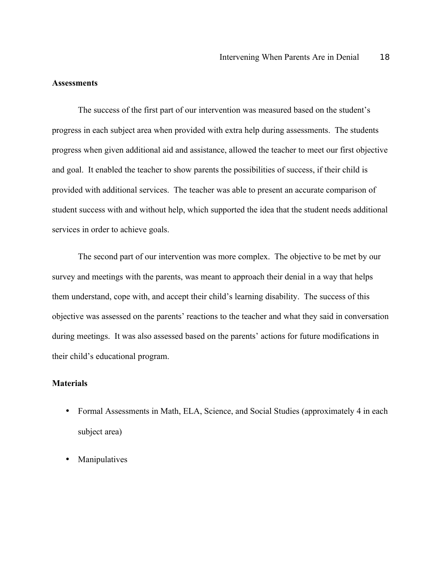## **Assessments**

The success of the first part of our intervention was measured based on the student's progress in each subject area when provided with extra help during assessments. The students progress when given additional aid and assistance, allowed the teacher to meet our first objective and goal. It enabled the teacher to show parents the possibilities of success, if their child is provided with additional services. The teacher was able to present an accurate comparison of student success with and without help, which supported the idea that the student needs additional services in order to achieve goals.

The second part of our intervention was more complex. The objective to be met by our survey and meetings with the parents, was meant to approach their denial in a way that helps them understand, cope with, and accept their child's learning disability. The success of this objective was assessed on the parents' reactions to the teacher and what they said in conversation during meetings. It was also assessed based on the parents' actions for future modifications in their child's educational program.

# **Materials**

- Formal Assessments in Math, ELA, Science, and Social Studies (approximately 4 in each subject area)
- **Manipulatives**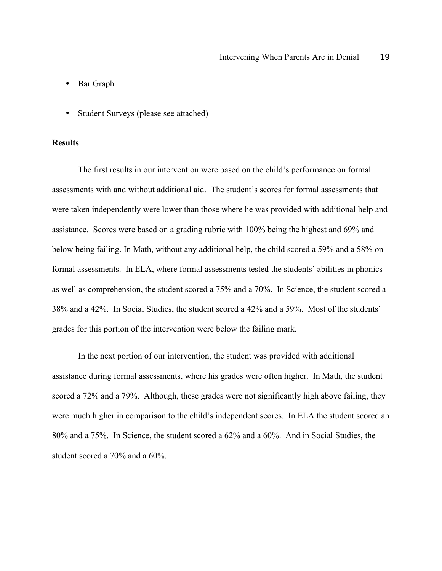- Bar Graph
- Student Surveys (please see attached)

## **Results**

The first results in our intervention were based on the child's performance on formal assessments with and without additional aid. The student's scores for formal assessments that were taken independently were lower than those where he was provided with additional help and assistance. Scores were based on a grading rubric with 100% being the highest and 69% and below being failing. In Math, without any additional help, the child scored a 59% and a 58% on formal assessments. In ELA, where formal assessments tested the students' abilities in phonics as well as comprehension, the student scored a 75% and a 70%. In Science, the student scored a 38% and a 42%. In Social Studies, the student scored a 42% and a 59%. Most of the students' grades for this portion of the intervention were below the failing mark.

In the next portion of our intervention, the student was provided with additional assistance during formal assessments, where his grades were often higher. In Math, the student scored a 72% and a 79%. Although, these grades were not significantly high above failing, they were much higher in comparison to the child's independent scores. In ELA the student scored an 80% and a 75%. In Science, the student scored a 62% and a 60%. And in Social Studies, the student scored a 70% and a 60%.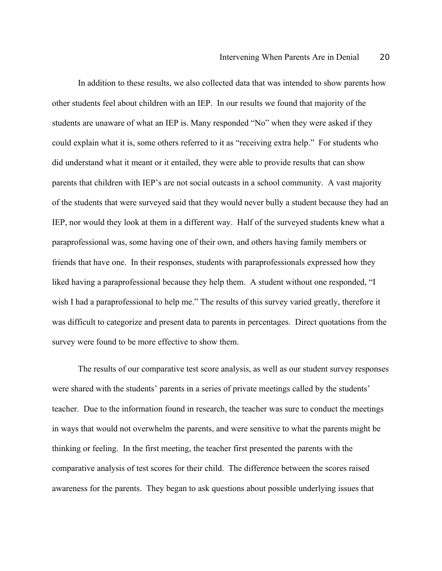In addition to these results, we also collected data that was intended to show parents how other students feel about children with an IEP. In our results we found that majority of the students are unaware of what an IEP is. Many responded "No" when they were asked if they could explain what it is, some others referred to it as "receiving extra help." For students who did understand what it meant or it entailed, they were able to provide results that can show parents that children with IEP's are not social outcasts in a school community. A vast majority of the students that were surveyed said that they would never bully a student because they had an IEP, nor would they look at them in a different way. Half of the surveyed students knew what a paraprofessional was, some having one of their own, and others having family members or friends that have one. In their responses, students with paraprofessionals expressed how they liked having a paraprofessional because they help them. A student without one responded, "I wish I had a paraprofessional to help me." The results of this survey varied greatly, therefore it was difficult to categorize and present data to parents in percentages. Direct quotations from the survey were found to be more effective to show them.

The results of our comparative test score analysis, as well as our student survey responses were shared with the students' parents in a series of private meetings called by the students' teacher. Due to the information found in research, the teacher was sure to conduct the meetings in ways that would not overwhelm the parents, and were sensitive to what the parents might be thinking or feeling. In the first meeting, the teacher first presented the parents with the comparative analysis of test scores for their child. The difference between the scores raised awareness for the parents. They began to ask questions about possible underlying issues that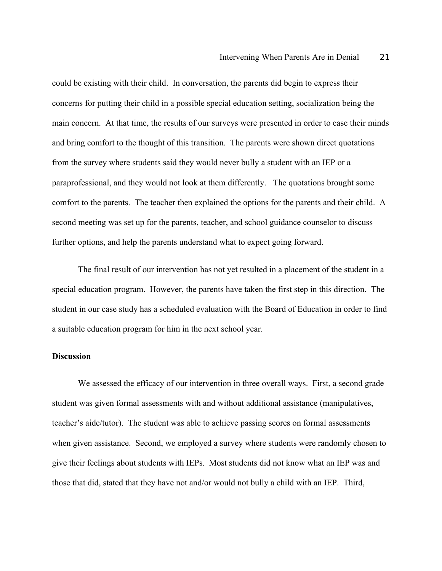could be existing with their child. In conversation, the parents did begin to express their concerns for putting their child in a possible special education setting, socialization being the main concern. At that time, the results of our surveys were presented in order to ease their minds and bring comfort to the thought of this transition. The parents were shown direct quotations from the survey where students said they would never bully a student with an IEP or a paraprofessional, and they would not look at them differently. The quotations brought some comfort to the parents. The teacher then explained the options for the parents and their child. A second meeting was set up for the parents, teacher, and school guidance counselor to discuss further options, and help the parents understand what to expect going forward.

The final result of our intervention has not yet resulted in a placement of the student in a special education program. However, the parents have taken the first step in this direction. The student in our case study has a scheduled evaluation with the Board of Education in order to find a suitable education program for him in the next school year.

#### **Discussion**

We assessed the efficacy of our intervention in three overall ways. First, a second grade student was given formal assessments with and without additional assistance (manipulatives, teacher's aide/tutor). The student was able to achieve passing scores on formal assessments when given assistance. Second, we employed a survey where students were randomly chosen to give their feelings about students with IEPs. Most students did not know what an IEP was and those that did, stated that they have not and/or would not bully a child with an IEP. Third,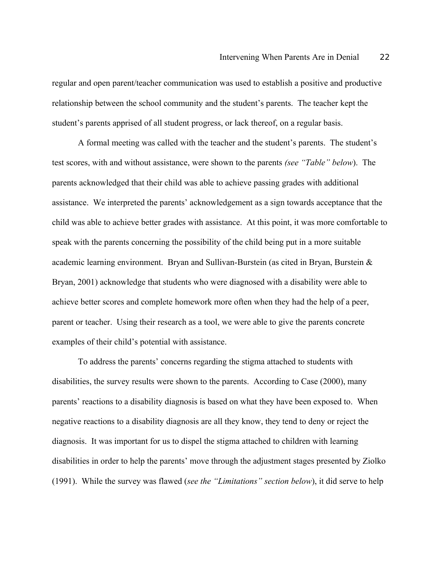regular and open parent/teacher communication was used to establish a positive and productive relationship between the school community and the student's parents. The teacher kept the student's parents apprised of all student progress, or lack thereof, on a regular basis.

A formal meeting was called with the teacher and the student's parents. The student's test scores, with and without assistance, were shown to the parents *(see "Table" below*). The parents acknowledged that their child was able to achieve passing grades with additional assistance. We interpreted the parents' acknowledgement as a sign towards acceptance that the child was able to achieve better grades with assistance. At this point, it was more comfortable to speak with the parents concerning the possibility of the child being put in a more suitable academic learning environment. Bryan and Sullivan-Burstein (as cited in Bryan, Burstein & Bryan, 2001) acknowledge that students who were diagnosed with a disability were able to achieve better scores and complete homework more often when they had the help of a peer, parent or teacher. Using their research as a tool, we were able to give the parents concrete examples of their child's potential with assistance.

To address the parents' concerns regarding the stigma attached to students with disabilities, the survey results were shown to the parents. According to Case (2000), many parents' reactions to a disability diagnosis is based on what they have been exposed to. When negative reactions to a disability diagnosis are all they know, they tend to deny or reject the diagnosis. It was important for us to dispel the stigma attached to children with learning disabilities in order to help the parents' move through the adjustment stages presented by Ziolko (1991). While the survey was flawed (*see the "Limitations" section below*), it did serve to help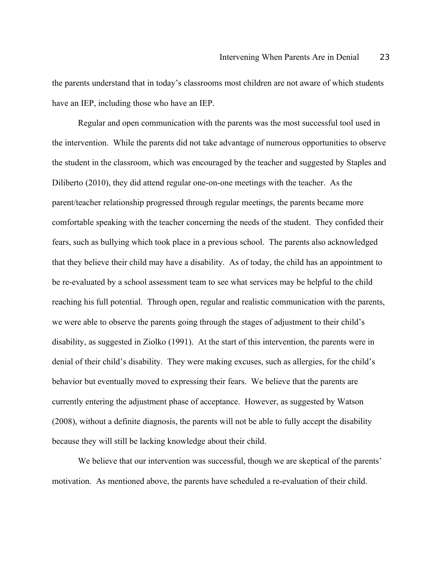the parents understand that in today's classrooms most children are not aware of which students have an IEP, including those who have an IEP.

Regular and open communication with the parents was the most successful tool used in the intervention. While the parents did not take advantage of numerous opportunities to observe the student in the classroom, which was encouraged by the teacher and suggested by Staples and Diliberto (2010), they did attend regular one-on-one meetings with the teacher. As the parent/teacher relationship progressed through regular meetings, the parents became more comfortable speaking with the teacher concerning the needs of the student. They confided their fears, such as bullying which took place in a previous school. The parents also acknowledged that they believe their child may have a disability. As of today, the child has an appointment to be re-evaluated by a school assessment team to see what services may be helpful to the child reaching his full potential. Through open, regular and realistic communication with the parents, we were able to observe the parents going through the stages of adjustment to their child's disability, as suggested in Ziolko (1991). At the start of this intervention, the parents were in denial of their child's disability. They were making excuses, such as allergies, for the child's behavior but eventually moved to expressing their fears. We believe that the parents are currently entering the adjustment phase of acceptance. However, as suggested by Watson (2008), without a definite diagnosis, the parents will not be able to fully accept the disability because they will still be lacking knowledge about their child.

We believe that our intervention was successful, though we are skeptical of the parents' motivation. As mentioned above, the parents have scheduled a re-evaluation of their child.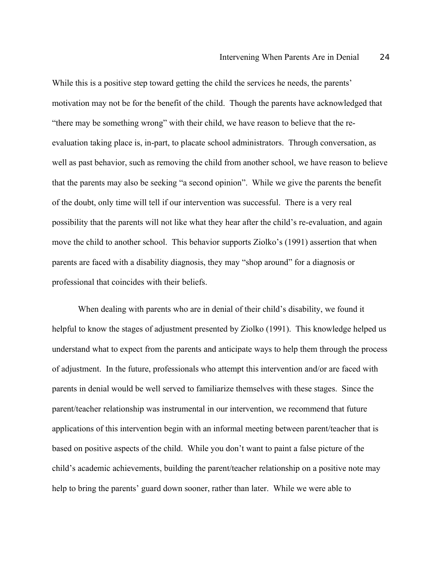While this is a positive step toward getting the child the services he needs, the parents' motivation may not be for the benefit of the child. Though the parents have acknowledged that "there may be something wrong" with their child, we have reason to believe that the reevaluation taking place is, in-part, to placate school administrators. Through conversation, as well as past behavior, such as removing the child from another school, we have reason to believe that the parents may also be seeking "a second opinion". While we give the parents the benefit of the doubt, only time will tell if our intervention was successful. There is a very real possibility that the parents will not like what they hear after the child's re-evaluation, and again move the child to another school. This behavior supports Ziolko's (1991) assertion that when parents are faced with a disability diagnosis, they may "shop around" for a diagnosis or professional that coincides with their beliefs.

When dealing with parents who are in denial of their child's disability, we found it helpful to know the stages of adjustment presented by Ziolko (1991). This knowledge helped us understand what to expect from the parents and anticipate ways to help them through the process of adjustment. In the future, professionals who attempt this intervention and/or are faced with parents in denial would be well served to familiarize themselves with these stages. Since the parent/teacher relationship was instrumental in our intervention, we recommend that future applications of this intervention begin with an informal meeting between parent/teacher that is based on positive aspects of the child. While you don't want to paint a false picture of the child's academic achievements, building the parent/teacher relationship on a positive note may help to bring the parents' guard down sooner, rather than later. While we were able to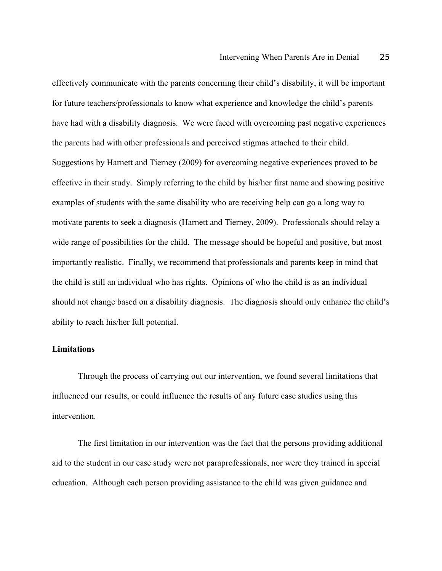effectively communicate with the parents concerning their child's disability, it will be important for future teachers/professionals to know what experience and knowledge the child's parents have had with a disability diagnosis. We were faced with overcoming past negative experiences the parents had with other professionals and perceived stigmas attached to their child. Suggestions by Harnett and Tierney (2009) for overcoming negative experiences proved to be effective in their study. Simply referring to the child by his/her first name and showing positive examples of students with the same disability who are receiving help can go a long way to motivate parents to seek a diagnosis (Harnett and Tierney, 2009). Professionals should relay a wide range of possibilities for the child. The message should be hopeful and positive, but most importantly realistic. Finally, we recommend that professionals and parents keep in mind that the child is still an individual who has rights. Opinions of who the child is as an individual should not change based on a disability diagnosis. The diagnosis should only enhance the child's ability to reach his/her full potential.

## **Limitations**

Through the process of carrying out our intervention, we found several limitations that influenced our results, or could influence the results of any future case studies using this intervention.

The first limitation in our intervention was the fact that the persons providing additional aid to the student in our case study were not paraprofessionals, nor were they trained in special education. Although each person providing assistance to the child was given guidance and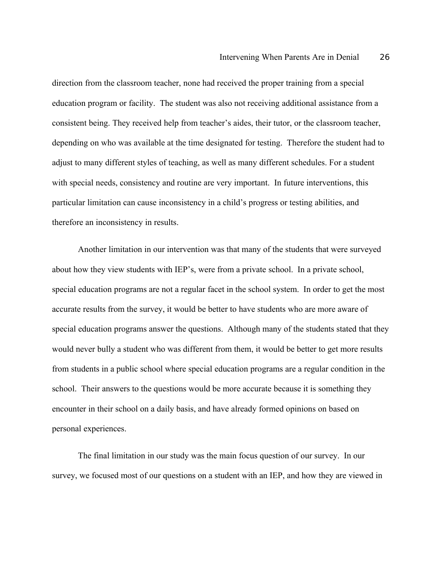direction from the classroom teacher, none had received the proper training from a special education program or facility. The student was also not receiving additional assistance from a consistent being. They received help from teacher's aides, their tutor, or the classroom teacher, depending on who was available at the time designated for testing. Therefore the student had to adjust to many different styles of teaching, as well as many different schedules. For a student with special needs, consistency and routine are very important. In future interventions, this particular limitation can cause inconsistency in a child's progress or testing abilities, and therefore an inconsistency in results.

Another limitation in our intervention was that many of the students that were surveyed about how they view students with IEP's, were from a private school. In a private school, special education programs are not a regular facet in the school system. In order to get the most accurate results from the survey, it would be better to have students who are more aware of special education programs answer the questions. Although many of the students stated that they would never bully a student who was different from them, it would be better to get more results from students in a public school where special education programs are a regular condition in the school. Their answers to the questions would be more accurate because it is something they encounter in their school on a daily basis, and have already formed opinions on based on personal experiences.

The final limitation in our study was the main focus question of our survey. In our survey, we focused most of our questions on a student with an IEP, and how they are viewed in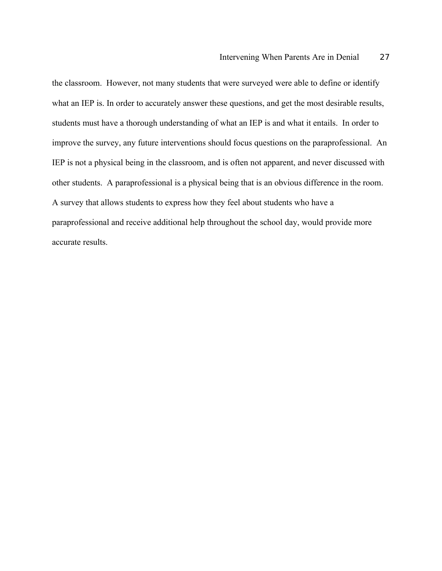the classroom. However, not many students that were surveyed were able to define or identify what an IEP is. In order to accurately answer these questions, and get the most desirable results, students must have a thorough understanding of what an IEP is and what it entails. In order to improve the survey, any future interventions should focus questions on the paraprofessional. An IEP is not a physical being in the classroom, and is often not apparent, and never discussed with other students. A paraprofessional is a physical being that is an obvious difference in the room. A survey that allows students to express how they feel about students who have a paraprofessional and receive additional help throughout the school day, would provide more accurate results.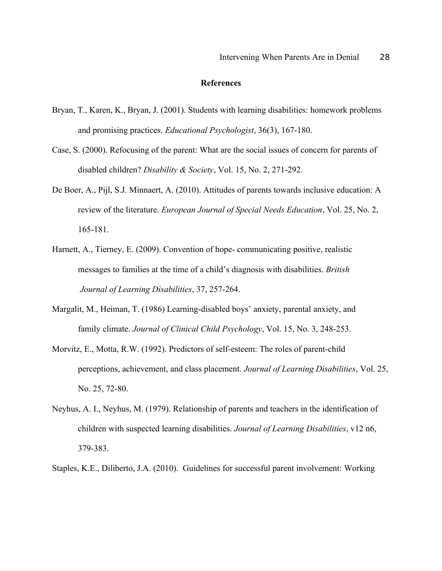### **References**

- Bryan, T., Karen, K., Bryan, J. (2001). Students with learning disabilities: homework problems and promising practices. *Educational Psychologist*, 36(3), 167-180.
- Case, S. (2000). Refocusing of the parent: What are the social issues of concern for parents of disabled children? *Disability & Society*, Vol. 15, No. 2, 271-292.
- De Boer, A., Pijl, S.J. Minnaert, A. (2010). Attitudes of parents towards inclusive education: A review of the literature. *European Journal of Special Needs Education*, Vol. 25, No. 2, 165-181.
- Harnett, A., Tierney, E. (2009). Convention of hope- communicating positive, realistic messages to families at the time of a child's diagnosis with disabilities. *British Journal of Learning Disabilities*, 37, 257-264.
- Margalit, M., Heiman, T. (1986) Learning-disabled boys' anxiety, parental anxiety, and family climate. *Journal of Clinical Child Psychology*, Vol. 15, No. 3, 248-253.
- Morvitz, E., Motta, R.W. (1992). Predictors of self-esteem: The roles of parent-child perceptions, achievement, and class placement. *Journal of Learning Disabilities*, Vol. 25, No. 25, 72-80.
- Neyhus, A. I., Neyhus, M. (1979). Relationship of parents and teachers in the identification of children with suspected learning disabilities. *Journal of Learning Disabilities*, v12 n6, 379-383.
- Staples, K.E., Diliberto, J.A. (2010). Guidelines for successful parent involvement: Working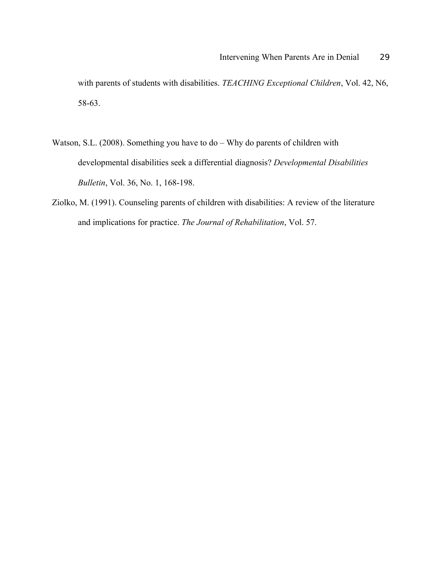with parents of students with disabilities. *TEACHING Exceptional Children*, Vol. 42, N6, 58-63.

- Watson, S.L. (2008). Something you have to do Why do parents of children with developmental disabilities seek a differential diagnosis? *Developmental Disabilities Bulletin*, Vol. 36, No. 1, 168-198.
- Ziolko, M. (1991). Counseling parents of children with disabilities: A review of the literature and implications for practice. *The Journal of Rehabilitation*, Vol. 57.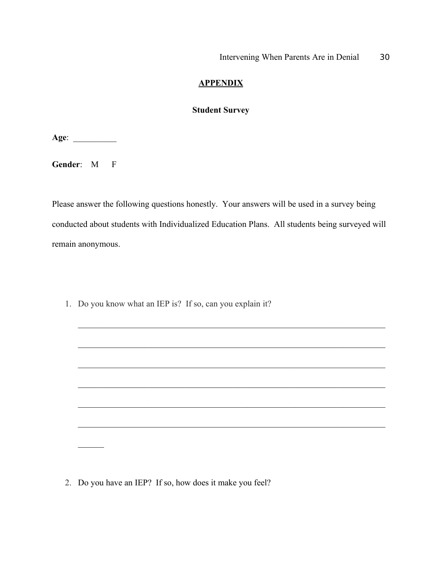# **APPENDIX**

# **Student Survey**

**Age**: \_\_\_\_\_\_\_\_\_\_

**Gender**: M F

 $\mathcal{L}$ 

Please answer the following questions honestly. Your answers will be used in a survey being conducted about students with Individualized Education Plans. All students being surveyed will remain anonymous.

 $\mathcal{L}_\text{max}$  , and the contribution of the contribution of the contribution of the contribution of the contribution of the contribution of the contribution of the contribution of the contribution of the contribution of t

 $\mathcal{L}_\text{max}$  , and the contribution of the contribution of the contribution of the contribution of the contribution of the contribution of the contribution of the contribution of the contribution of the contribution of t

 $\mathcal{L}_\text{max}$  , and the contribution of the contribution of the contribution of the contribution of the contribution of the contribution of the contribution of the contribution of the contribution of the contribution of t

 $\mathcal{L}_\text{max}$  , and the contribution of the contribution of the contribution of the contribution of the contribution of the contribution of the contribution of the contribution of the contribution of the contribution of t

 $\mathcal{L}_\mathcal{L} = \{ \mathcal{L}_\mathcal{L} = \{ \mathcal{L}_\mathcal{L} = \{ \mathcal{L}_\mathcal{L} = \{ \mathcal{L}_\mathcal{L} = \{ \mathcal{L}_\mathcal{L} = \{ \mathcal{L}_\mathcal{L} = \{ \mathcal{L}_\mathcal{L} = \{ \mathcal{L}_\mathcal{L} = \{ \mathcal{L}_\mathcal{L} = \{ \mathcal{L}_\mathcal{L} = \{ \mathcal{L}_\mathcal{L} = \{ \mathcal{L}_\mathcal{L} = \{ \mathcal{L}_\mathcal{L} = \{ \mathcal{L}_\mathcal{$ 

1. Do you know what an IEP is? If so, can you explain it?

2. Do you have an IEP? If so, how does it make you feel?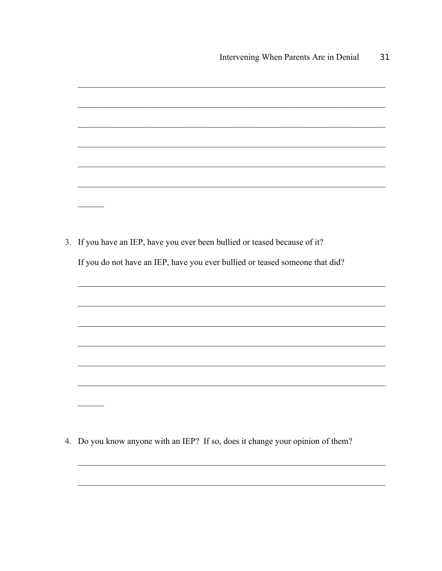| If you have an IEP, have you ever been bullied or teased because of it?      |
|------------------------------------------------------------------------------|
| If you do not have an IEP, have you ever bullied or teased someone that did? |
|                                                                              |
|                                                                              |
|                                                                              |
|                                                                              |
|                                                                              |
|                                                                              |
|                                                                              |
|                                                                              |

4. Do you know anyone with an IEP? If so, does it change your opinion of them?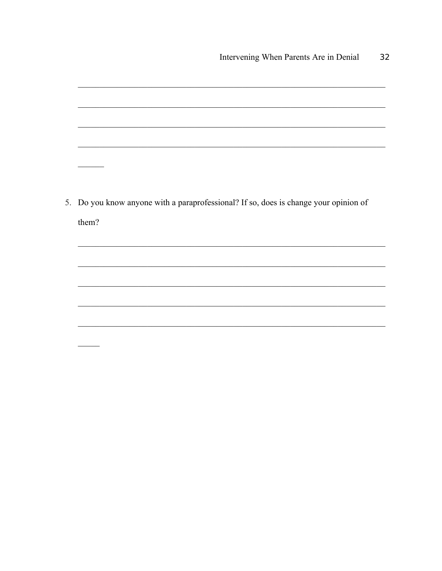

5. Do you know anyone with a paraprofessional? If so, does is change your opinion of them?